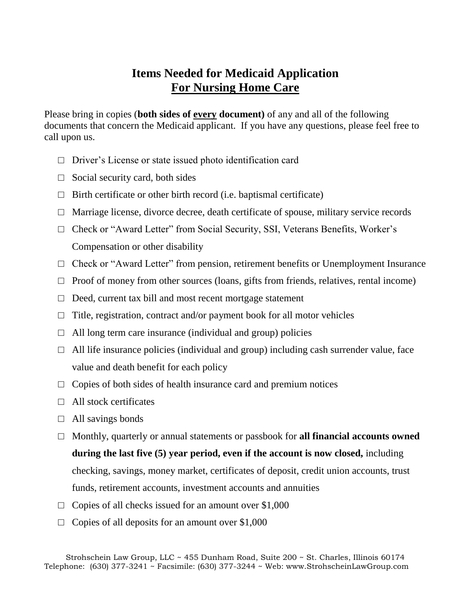## **Items Needed for Medicaid Application For Nursing Home Care**

Please bring in copies (**both sides of every document)** of any and all of the following documents that concern the Medicaid applicant. If you have any questions, please feel free to call upon us.

- □ Driver's License or state issued photo identification card
- $\Box$  Social security card, both sides
- $\Box$  Birth certificate or other birth record (i.e. baptismal certificate)
- $\Box$  Marriage license, divorce decree, death certificate of spouse, military service records
- □ Check or "Award Letter" from Social Security, SSI, Veterans Benefits, Worker's Compensation or other disability
- $\Box$  Check or "Award Letter" from pension, retirement benefits or Unemployment Insurance
- $\Box$  Proof of money from other sources (loans, gifts from friends, relatives, rental income)
- $\Box$  Deed, current tax bill and most recent mortgage statement
- $\Box$  Title, registration, contract and/or payment book for all motor vehicles
- $\Box$  All long term care insurance (individual and group) policies
- $\Box$  All life insurance policies (individual and group) including cash surrender value, face value and death benefit for each policy
- $\Box$  Copies of both sides of health insurance card and premium notices
- $\Box$  All stock certificates
- $\Box$  All savings bonds
- □ Monthly, quarterly or annual statements or passbook for **all financial accounts owned during the last five (5) year period, even if the account is now closed,** including checking, savings, money market, certificates of deposit, credit union accounts, trust funds, retirement accounts, investment accounts and annuities
- $\Box$  Copies of all checks issued for an amount over \$1,000
- $\Box$  Copies of all deposits for an amount over \$1,000